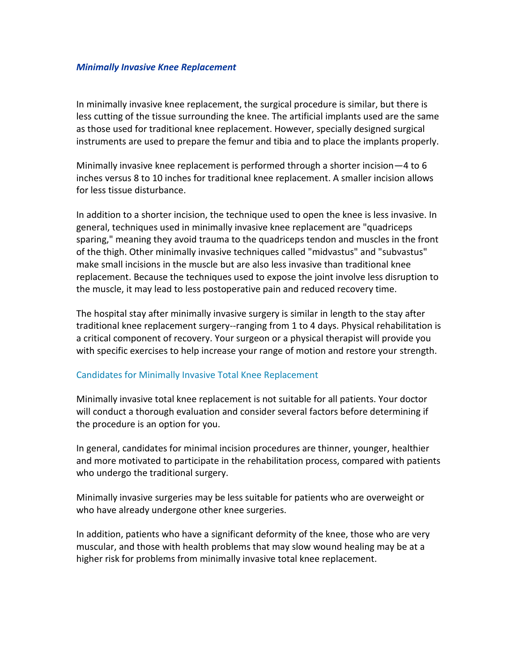## *Minimally Invasive Knee Replacement*

In minimally invasive knee replacement, the surgical procedure is similar, but there is less cutting of the tissue surrounding the knee. The artificial implants used are the same as those used for traditional knee replacement. However, specially designed surgical instruments are used to prepare the femur and tibia and to place the implants properly.

Minimally invasive knee replacement is performed through a shorter incision—4 to 6 inches versus 8 to 10 inches for traditional knee replacement. A smaller incision allows for less tissue disturbance.

In addition to a shorter incision, the technique used to open the knee is less invasive. In general, techniques used in minimally invasive knee replacement are "quadriceps sparing," meaning they avoid trauma to the quadriceps tendon and muscles in the front of the thigh. Other minimally invasive techniques called "midvastus" and "subvastus" make small incisions in the muscle but are also less invasive than traditional knee replacement. Because the techniques used to expose the joint involve less disruption to the muscle, it may lead to less postoperative pain and reduced recovery time.

The hospital stay after minimally invasive surgery is similar in length to the stay after traditional knee replacement surgery--ranging from 1 to 4 days. Physical rehabilitation is a critical component of recovery. Your surgeon or a physical therapist will provide you with specific exercises to help increase your range of motion and restore your strength.

## Candidates for Minimally Invasive Total Knee Replacement

Minimally invasive total knee replacement is not suitable for all patients. Your doctor will conduct a thorough evaluation and consider several factors before determining if the procedure is an option for you.

In general, candidates for minimal incision procedures are thinner, younger, healthier and more motivated to participate in the rehabilitation process, compared with patients who undergo the traditional surgery.

Minimally invasive surgeries may be less suitable for patients who are overweight or who have already undergone other knee surgeries.

In addition, patients who have a significant deformity of the knee, those who are very muscular, and those with health problems that may slow wound healing may be at a higher risk for problems from minimally invasive total knee replacement.